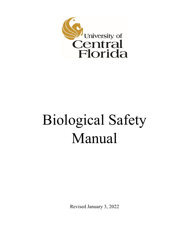

# Biological Safety Manual

Revised January 3, 2022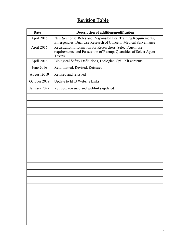# **Revision Table**

| <b>Date</b>  | Description of addition/modification                                                                                                      |  |  |
|--------------|-------------------------------------------------------------------------------------------------------------------------------------------|--|--|
| April 2016   | New Sections: Roles and Responsibilities, Training Requirements,<br>Emergencies, Dual Use Research of Concern, Medical Surveillance       |  |  |
| April 2016   | Registration Information for Researchers, Select Agent use<br>requirements, and Possession of Exempt Quantities of Select Agent<br>Toxins |  |  |
| April 2016   | Biological Safety Definitions, Biological Spill Kit contents                                                                              |  |  |
| June 2016    | Reformatted, Revised, Reissued                                                                                                            |  |  |
| August 2019  | Revised and reissued                                                                                                                      |  |  |
| October 2019 | Update to EHS Website Links                                                                                                               |  |  |
| January 2022 | Revised, reissued and weblinks updated                                                                                                    |  |  |
|              |                                                                                                                                           |  |  |
|              |                                                                                                                                           |  |  |
|              |                                                                                                                                           |  |  |
|              |                                                                                                                                           |  |  |
|              |                                                                                                                                           |  |  |
|              |                                                                                                                                           |  |  |
|              |                                                                                                                                           |  |  |
|              |                                                                                                                                           |  |  |
|              |                                                                                                                                           |  |  |
|              |                                                                                                                                           |  |  |
|              |                                                                                                                                           |  |  |
|              |                                                                                                                                           |  |  |
|              |                                                                                                                                           |  |  |
|              |                                                                                                                                           |  |  |
|              |                                                                                                                                           |  |  |
|              |                                                                                                                                           |  |  |
|              |                                                                                                                                           |  |  |
|              |                                                                                                                                           |  |  |
|              |                                                                                                                                           |  |  |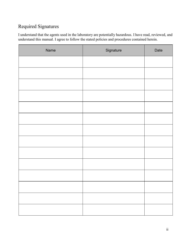# Required Signatures

I understand that the agents used in the laboratory are potentially hazardous. I have read, reviewed, and understand this manual. I agree to follow the stated policies and procedures contained herein.

| Name | Signature | Date |
|------|-----------|------|
|      |           |      |
|      |           |      |
|      |           |      |
|      |           |      |
|      |           |      |
|      |           |      |
|      |           |      |
|      |           |      |
|      |           |      |
|      |           |      |
|      |           |      |
|      |           |      |
|      |           |      |
|      |           |      |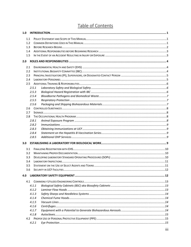# Table of Contents

| 1.0 |       |  |
|-----|-------|--|
| 1.1 |       |  |
|     | 1.2   |  |
| 1.3 |       |  |
|     | 1.4   |  |
| 1.5 |       |  |
| 2.0 |       |  |
| 2.1 |       |  |
| 2.2 |       |  |
| 2.3 |       |  |
| 2.4 |       |  |
| 2.5 |       |  |
|     | 2.5.1 |  |
|     | 2.5.3 |  |
|     | 2.5.4 |  |
|     | 2.5.5 |  |
|     | 2.5.6 |  |
|     | 2.6   |  |
|     | 2.7   |  |
|     | 2.8   |  |
|     | 2.8.1 |  |
|     | 2.8.2 |  |
|     | 2.8.3 |  |
|     | 2.8.4 |  |
|     | 2.8.5 |  |
| 3.0 |       |  |
| 3.1 |       |  |
| 3.2 |       |  |
| 3.3 |       |  |
| 3.4 |       |  |
| 3.5 |       |  |
| 3.6 |       |  |
| 4.0 |       |  |
|     | 4.1   |  |
|     | 4.1.1 |  |
|     | 4.1.2 |  |
|     | 4.1.3 |  |
|     | 4.1.4 |  |
|     | 4.1.5 |  |
|     | 4.1.6 |  |
|     | 4.1.7 |  |
|     | 4.1.8 |  |
|     |       |  |
|     | 4.2.1 |  |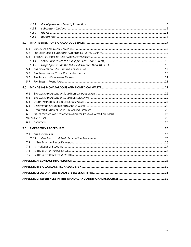|     | 4.2.2 |  |
|-----|-------|--|
|     | 4.2.3 |  |
|     | 4.2.4 |  |
|     | 4.2.5 |  |
| 5.0 |       |  |
| 5.1 |       |  |
| 5.2 |       |  |
| 5.3 |       |  |
|     | 5.3.1 |  |
|     | 5.3.2 |  |
| 5.4 |       |  |
| 5.5 |       |  |
| 5.6 |       |  |
| 5.7 |       |  |
| 6.0 |       |  |
| 6.1 |       |  |
| 6.2 |       |  |
| 6.3 |       |  |
| 6.4 |       |  |
| 6.5 |       |  |
| 6.6 |       |  |
|     |       |  |
| 6.7 |       |  |
| 7.0 |       |  |
| 7.1 |       |  |
|     | 7.1.1 |  |
| 7.2 |       |  |
| 7.3 |       |  |
| 7.4 |       |  |
| 7.5 |       |  |
|     |       |  |
|     |       |  |
|     |       |  |
|     |       |  |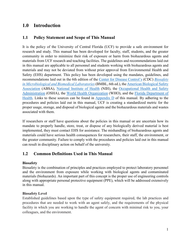# <span id="page-5-0"></span>**1.0 Introduction**

## <span id="page-5-1"></span>**1.1 Policy Statement and Scope of This Manual**

It is the policy of the University of Central Florida (UCF) to provide a safe environment for research and study. This manual has been developed for faculty, staff, students, and the greater community in order to minimize their risk of exposure or harm from biohazardous agents and materials from UCF research and teaching facilities. The guidelines and recommendations laid out in this manual are applicable to all personnel and students working with biohazardous agents and materials and may not be deviated from without prior approval from Environmental Health and Safety (EHS) department. This policy has been developed using the mandates, guidelines, and recommendations laid out in the 6th edition of the [Center for Disease Control's](http://www.cdc.gov/) (CDC) *[Biosafety](https://www.cdc.gov/labs/pdf/SF__19_308133-A_BMBL6_00-BOOK-WEB-final-3.pdf)  [in Microbiological and Biomedical Laboratories](https://www.cdc.gov/labs/pdf/SF__19_308133-A_BMBL6_00-BOOK-WEB-final-3.pdf)*(BMBL, 6th ed.), th[e American Biological Safety](http://absa.org/)  [Association](http://absa.org/) (ABSA), [National Institute of Health](https://www.nih.gov/) (NIH), the [Occupational Health and Safety](https://www.osha.gov/)  [Administration](https://www.osha.gov/) (OSHA), the [World Health Organization](http://www.who.int/csr/resources/publications/biosafety/Labbiosafety.pdf) (WHO), and the [Florida Department of](http://www.floridahealth.gov/)  [Health.](http://www.floridahealth.gov/) Links to these sources can be found in [Appendix D](#page-43-0) of this manual. By adhering to the procedures and policies laid out in this manual, UCF is creating a standardized metric for the proper usage, storage, and disposal of biological agents and the biohazardous materials and wastes associated with them.

If researchers or staff have questions about the policies in this manual or are uncertain how its mandate to properly handle, store, treat, or dispose of any biologically derived material is best implemented, they must contact EHS for assistance. The mishandling of biohazardous agents and materials could have serious health consequences for researchers, their staff, the environment, or the greater community. Failure to comply with the procedures and policies laid out in this manual can result in disciplinary action on behalf of the university.

## <span id="page-5-2"></span>**1.2 Common Definitions Used in This Manual**

#### **Biosafety**

Biosafety is the combination of principles and practices employed to protect laboratory personnel and the environment from exposure while working with biological agents and contaminated materials (biohazards). An important part of this concept is the proper use of engineering controls along with appropriate personal protective equipment (PPE), which will be addressed extensively in this manual.

#### **Biosafety Level**

Established guidelines based upon the type of safety equipment required, the lab practices and procedures that are needed to work with an agent safely, and the requirements of the physical facility in which you are working to handle the agent of concern with minimal risk to you, your colleagues, and the environment.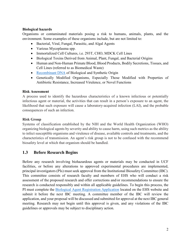#### **Biological hazards**

Organisms or contaminated materials posing a risk to humans, animals, plants, and the environment. Some examples of these organisms include, but are not limited to:

- Bacterial, Viral, Fungal, Parasitic, and Algal Agents
- Various Mycoplasma spp.
- Immortalized Cell Cultures, i.e. 293T, CHO, MDCK Cell Lines
- Biological Toxins Derived from Animal, Plant, Fungal, and Bacterial Origins
- Human and Non-Human Primate Blood, Blood Products, Bodily Secretions, Tissues, and Cell Lines (referred to as Biomedical Waste)
- [Recombinant DNA](https://osp.od.nih.gov/biotechnology/biosafety-and-recombinant-dna-activities/https:/osp.od.nih.gov/biotechnology/biosafety-and-recombinant-dna-activities/) of Biological and Synthetic Origin
- Genetically Modified Organisms, Especially Those Modified with Properties of Antibiotic Resistance, Increased Virulence, or Novel Functions

#### **Risk Assessment**

A process used to identify the hazardous characteristics of a known infectious or potentially infectious agent or material, the activities that can result in a person's exposure to an agent, the likelihood that such exposure will cause a laboratory-acquired infection (LAI), and the probable consequences of such an infection.

#### **Risk Group**

Systems of classification established by the NIH and the World Health Organization (WHO) organizing biological agents by severity and ability to cause harm, using such metrics as the ability to infect susceptible organisms and virulence of disease, available controls and treatments, and the characteristics of transmission. An agent's risk group is not to be confused with the recommend biosafety level at which that organism should be handled.

# <span id="page-6-0"></span>**1.3 Before Research Begins**

Before any research involving biohazardous agents or materials may be conducted in UCF facilities, or before any alterations to approved experimental procedures are implemented, principal investigators (PIs) must seek approval from the Institutional Biosafety Committee (IBC). This committee consists of research faculty and members of EHS who will conduct a risk assessment of the proposed research and offer corrections and/or recommendations to ensure the research is conducted responsibly and within all applicable guidelines. To begin this process, the PI must complete the [Biological Agent Registration Application](https://ehs.ucf.edu/wp-content/uploads/sites/3/2021/10/BARA.2021_MK-1.pdf) located on the EHS website and submit it before the next IBC meeting. A committee member of the IBC will review the application, and your proposal will be discussed and submitted for approval at the next IBC general meeting. Research may not begin until this approval is given, and any violations of the IBC guidelines or approvals may be subject to disciplinary action.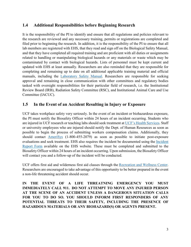## <span id="page-7-0"></span>**1.4 Additional Responsibilities before Beginning Research**

It is the responsibility of the PI to identify and ensure that all regulations and policies relevant to the research are reviewed and any necessary training, permits or registrations are completed and filed prior to beginning the research. In addition, it is the responsibility of the PI to ensure that all lab members are registered with EHS, that they read and sign off on the Biological Safety Manual, and that they have completed all required training and are proficient with all duties or assignments related to handling or manipulating biological hazards or any materials or waste which may be contaminated by contact with biological hazards. Lists of personnel must be kept current and updated with EHS at least annually. Researchers are also reminded that they are responsible for completing and remaining up to date on all additional applicable training material and official manuals, including the [Laboratory Safety Manual.](https://ehs.ucf.edu/wp-content/uploads/sites/3/2021/08/Laboratory-Safety-Manual-2018.pdf) Researchers are responsible for seeking approval and remaining in close communication with other committees and regulatory bodies tasked with oversight responsibilities for their particular field of research, i.e. the Institutional Review Board (IRB), Radiation Safety Committee (RSC), and Institutional Animal Care and Use Committee (IACUC).

## <span id="page-7-1"></span>**1.5 In the Event of an Accident Resulting in Injury or Exposure**

UCF takes workplace safety very seriously. In the event of an incident or biohazardous exposure, the PI must notify the Biosafety Officer within 24 hours of an incident occurring. Students who are injured in UCF research or teaching labs should seek treatment at [UCF's Health Services.](https://studenthealth.ucf.edu/) Staff or university employees who are injured should notify the Dept. of Human Resources as soon as possible to begin the process of submitting workers compensation claims. Additionally, they should contact [AmeriSys](http://www.amerisys-info.com/) (1-800-455-2079) as soon as possible to initiate post-exposure evaluations and seek treatment. EHS also requires the incident be documented using the Incident Report Form available on the EHS website. These must be completed and submitted to the Biosafety Officer within 24 hours of an incident occurring. Upon submission, the Biosafety Officer will contact you and a follow-up of the incident will be conducted.

UCF offers first aid and wilderness first aid classes through the [Recreation and Wellness Center.](http://rwc.sdes.ucf.edu/programs/risk-management/cpr-first-aid) Researchers are encouraged to take advantage of this opportunity to be better prepared in the event a non-life threatening accident should occur.

**IN THE EVENT OF A LIFE THREATNING EMERGENCY YOU MUST IMMEDIATELY CALL 911. DO NOT ATTEMPT TO MOVE ANY INJURED PERSON AT THE SCENE OF AN ACCIDENT UNLESS A DANGEROUS SITUATION CALLS FOR YOU TO DO SO. YOU SHOULD INFORM FIRST RESPONDERS OF ANY POTENTIAL THREATS TO THEIR SAFETY, INCLUDING THE PRESENCE OF HAZARDOUS MATERIALS OR ANY BIOHAZARD(S) OR AGENTS PRESENT.**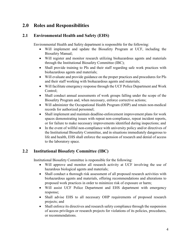# <span id="page-8-0"></span>**2.0 Roles and Responsibilities**

# <span id="page-8-1"></span>**2.1 Environmental Health and Safety (EHS)**

Environmental Health and Safety department is responsible for the following:

- Will implement and update the Biosafety Program at UCF, including the Biosafety Manual;
- Will register and monitor research utilizing biohazardous agents and materials through the Institutional Biosafety Committee (IBC);
- Shall provide training to PIs and their staff regarding safe work practices with biohazardous agents and materials;
- Will evaluate and provide guidance on the proper practices and procedures for PIs and their staff working with biohazardous agents and materials;
- Will facilitate emergency response through the UCF Police Department and Work Control;
- Shall conduct annual assessments of work groups falling under the scope of the Biosafety Program and, when necessary, enforce corrective actions;
- Will administer the Occupational Health Program (OHP) and retain non-medical records for authorized personnel;
- Shall implement and maintain deadline-enforcement improvement plans for work spaces demonstrating issues with repeat non-compliance, repeat incident reports, or for failure to make necessary improvements identified during inspections; and
- In the event of willful non-compliance with university policy and/or directives of the Institutional Biosafety Committee, and in situations immediately dangerous to life and health, EHS shall enforce the suspension of research and denial of access to the laboratory space.

# <span id="page-8-2"></span>**2.2 Institutional Biosafety Committee (IBC)**

Institutional Biosafety Committee is responsible for the following:

- Will approve and monitor all research activity at UCF involving the use of hazardous biological agents and materials;
- Shall conduct a thorough risk assessment of all proposed research activities with biohazardous agents and materials, offering recommendations and alterations to proposed work practices in order to minimize risk of exposure or harm;
- Will assist UCF Police Department and EHS department with emergency response;
- Shall advise EHS to all necessary OHP requirements of proposed research projects; and
- Shall enforce its directives and research safety compliance through the suspension of access privileges or research projects for violations of its policies, procedures, or recommendations.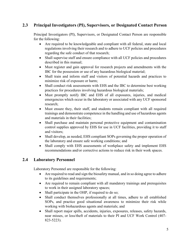# <span id="page-9-0"></span>**2.3 Principal Investigators (PI), Supervisors, or Designated Contact Person**

Principal Investigators (PI), Supervisors, or Designated Contact Person are responsible for the following:

- Are required to be knowledgeable and compliant with all federal, state and local regulations involving their research and to adhere to UCF policies and procedures regarding the safe conduct of that research;
- Shall supervise staff and ensure compliance with all UCF policies and procedures described in this manual;
- Must register and gain approval for research projects and amendments with the IBC for the possession or use of any hazardous biological material;
- Shall train and inform staff and visitors of potential hazards and practices to minimize risk of exposure or harm;
- Shall conduct risk assessments with EHS and the IBC to determine best working practices for procedures involving hazardous biological materials;
- Must promptly notify IBC and EHS of all exposures, injuries, and medical emergencies which occur in the laboratory or associated with any UCF sponsored research;
- Must ensure they, their staff, and students remain compliant with all required trainings and demonstrate competence in the handling and use of hazardous agents and materials in their facilities;
- Shall purchase and maintain personal protective equipment and contamination control supplies approved by EHS for use in UCF facilities, providing it to staff and visitors;
- Shall develop, as needed, EHS compliant SOPs governing the proper operation of the laboratory and ensure safe working conditions; and
- Shall comply with EHS assessments of workplace safety and implement EHS recommendations and/or corrective actions to reduce risk in their work spaces.

# <span id="page-9-1"></span>**2.4 Laboratory Personnel**

Laboratory Personnel are responsible for the following:

- Are required to read and sign the biosafety manual, and in so doing agree to adhere to its guidelines and requirements;
- Are required to remain compliant with all mandatory trainings and prerequisites to work in their assigned laboratory spaces;
- Shall participate in the OHP, if required to do so;
- Shall conduct themselves professionally at all times, adhere to all established SOPs, and practice good situational awareness to minimize their risk while working with biohazardous agents and materials; and
- Shall report major spills, accidents, injuries, exposures, releases, safety hazards, near misses, or loss/theft of materials to their PI and UCF Work Control (407- 823-5223).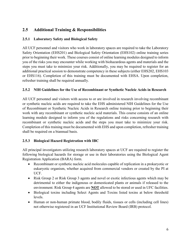# <span id="page-10-0"></span>**2.5 Additional Training & Responsibilities**

#### <span id="page-10-1"></span>**2.5.1 Laboratory Safety and Biological Safety**

All UCF personnel and visitors who work in laboratory spaces are required to take the Laboratory Safety Orientation (EHS201) and Biological Safety Orientation (EHS102) online training series prior to beginning their work. These courses consist of online learning modules designed to inform you of the risks you may encounter while working with biohazardous agents and materials and the steps you must take to minimize your risk. Additionally, you may be required to register for an additional practical session to demonstrate competency in these subjects (either EHS202, EHS103 or EHS116). Completion of this training must be documented with EHSA. Upon completion, refresher training shall be required annually.

#### **2.5.2 NIH Guidelines for the Use of Recombinant or Synthetic Nucleic Acids in Research**

All UCF personnel and visitors with access to or are involved in research involving recombinant or synthetic nucleic acids are required to take the EHS administered NIH Guidelines for the Use of Recombinant or Synthetic Nucleic Acids in Research online training prior to beginning their work with any recombinant or synthetic nucleic acid materials. This course consists of an online learning module designed to inform you of the regulations and risks concerning research with recombinant or synthetic nucleic acids and the steps you must take to minimize your risk. Completion of this training must be documented with EHS and upon completion, refresher training shall be required on a biannual basis.

#### <span id="page-10-2"></span>**2.5.3 Biological Hazard Registration with IBC**

All principal investigators utilizing research laboratory spaces at UCF are required to register the following biological hazards for storage or use in their laboratories using the Biological Agent Registration Application (BARA) form.

- Recombinant or synthetic nucleic acid molecules capable of replication in a prokaryotic or eukaryotic organism, whether acquired from commercial vendors or created by the PI at UCF.
- Risk Group 2 or Risk Group 3 agents and novel or exotic infectious agents which may be detrimental to either the indigenous or domesticated plants or animals if released to the environment. Risk Group 4 agents are **NOT** allowed to be stored or used in UFC facilities.
- Biological toxins including Select Agents and Toxins listed toxins at below threshold levels.
- Human or non-human primate blood, bodily fluids, tissues or cells (including cell lines) not otherwise registered in an UCF Institutional Review Board (IRB) protocol.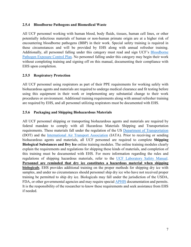#### <span id="page-11-0"></span>**2.5.4 Bloodborne Pathogens and Biomedical Waste**

All UCF personnel working with human blood, body fluids, tissues, human cell lines, or other potentially infectious materials of human or non-human primate origin are at a higher risk of encountering bloodborne pathogens (BBP) in their work. Special safety training is required in these circumstances and will be provided by EHS along with annual refresher training. Additionally, all personnel falling under this category must read and sign UCF's [Bloodborne](https://ehs.ucf.edu/wp-content/uploads/sites/3/2019/10/UCF-BBP-ECP_8-26-2019.approved.pdf)  [Pathogen Exposure Control Plan.](https://ehs.ucf.edu/wp-content/uploads/sites/3/2019/10/UCF-BBP-ECP_8-26-2019.approved.pdf) No personnel falling under this category may begin their work without completing training and signing off on this manual, documenting their compliance with EHS upon completion.

#### <span id="page-11-1"></span>**2.5.5 Respiratory Protection**

All UCF personnel using respirators as part of their PPE requirements for working safely with biohazardous agents and materials are required to undergo medical clearance and fit testing before using this equipment in their work or implementing any substantial change to their work procedures or environment. Additional training requirements along with annual refresher training are required by EHS, and all personnel utilizing respirators must be documented with EHS.

#### <span id="page-11-2"></span>**2.5.6 Packaging and Shipping Biohazardous Materials**

All UCF personnel shipping or transporting biohazardous agents and materials are required by federal mandate to comply with all Hazardous Materials Shipping and Transportation requirements. These materials fall under the regulation of the US [Department of Transportation](https://www.transportation.gov/) (DOT) and the [International Air Transport Association](http://www.iata.org/Pages/default.aspx) (IATA). Prior to receiving or sending biohazardous agents and materials, all UCF personnel are required to complete **Shipping Biological Substances and Dry Ice** online training modules. The online training modules clearly explain the requirements and regulations for shipping these kinds of materials, and completion of this training must be documented with EHS. For more information regarding the rules and regulations of shipping hazardous materials, refer to the [UCF Laboratory Safety Manual.](https://ehs.ucf.edu/wp-content/uploads/sites/3/2021/08/Laboratory-Safety-Manual-2018.pdf) **Personnel are reminded that dry ice constitutes a hazardous material when shipping biologicals**. EHS provides additional training on the proper methods for shipping dry ice with samples, and under no circumstances should personnel ship dry ice who have not received proper training be permitted to ship dry ice. Biologicals may fall under the jurisdiction of the USDA, FDA, or other governmental agencies and may require special [APHIS](https://www.aphis.usda.gov/aphis/home/) documentation and permits. It is the responsibility of the researcher to know these requirements and seek assistance from EHS if needed.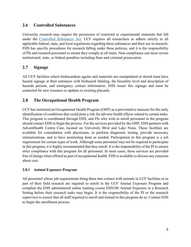## <span id="page-12-0"></span>**2.6 Controlled Substances**

University research may require the possession of restricted or experimental materials that fall under the [Controlled Substances Act.](https://www.dea.gov/drug-information/csa) UCF requires all researchers to adhere strictly to all applicable federal, state, and local regulations regarding these substances and their use in research. EHS has specific procedures for research falling under these policies, and it is the responsibility of PIs and research personnel to ensure they comply at all times. Non-compliance can incur severe institutional, state, or federal penalties including fines and criminal prosecution.

# <span id="page-12-1"></span>**2.7 Signage**

All UCF facilities where biohazardous agents and materials are manipulated or stored must have hazard signage at their entrances with biohazard labeling, the biosafety level and description of hazards present, and emergency contact information. EHS issues this signage and must be contacted for new issuance or updates to existing placards.

# <span id="page-12-2"></span>**2.8 The Occupational Health Program**

UCF has instituted an Occupational Health Program (OHP) as a preventative measure for the early identification of conditions that could pose a risk for adverse health effects related to certain tasks. This program is coordinated through EHS, and PIs who wish to enroll personnel in the program should contact EHS to begin the process. For the services provided by the OHP, EHS partners with AdventHealth Centra Care, located on University Blvd and Lake Nona. These facilities are available for consultation with physicians, to perform diagnostic testing, provide necessary immunizations, and to have monitoring done as needed. Participation in this program is a job requirement for certain types of work. Although some personnel may not be required to participate in this program, it is highly recommended that they enroll. It is the responsibility of the PI to ensure strict compliance with this program for all personnel. In most cases, these services are provided free of charge when offered as part of occupational health. EHS is available to discuss any concerns about cost.

#### <span id="page-12-3"></span>**2.8.1 Animal Exposure Program**

All personnel whose job requirements bring them into contact with animals in UCF facilities or as part of their field research are required to enroll in the UCF Animal Exposure Program and complete the EHS administered online training course EHS180 Animal Exposure in a Research Setting before their research tasks may begin. It is the responsibility of the PI or the research supervisor to ensure that all staff required to enroll and trained in this program do so. Contact EHS to begin the enrollment process.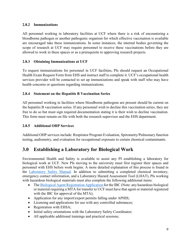#### <span id="page-13-0"></span>**2.8.2 Immunizations**

All personnel working in laboratory facilities at UCF where there is a risk of encountering a bloodborne pathogen or another pathogenic organism for which effective vaccination is available are encouraged take these immunizations. In some instances, the internal bodies governing the scope of research at UCF may require personnel to receive these vaccinations before they are allowed to work in these spaces or as a prerequisite to approving research projects.

#### <span id="page-13-1"></span>**2.8.3 Obtaining Immunizations at UCF**

To request immunizations for personnel in UCF facilities, PIs should request an Occupational Health Exam Request Form from EHS and instruct staff to complete it. UCF's occupational health services provider will be contacted to set up immunizations and speak with staff who may have health concerns or questions regarding immunizations.

#### <span id="page-13-2"></span>**2.8.4 Statement on the Hepatitis B Vaccination Series**

All personnel working in facilities where bloodborne pathogens are present should be current on the hepatitis B vaccination series. If any personnel wish to decline this vaccination series, they are free to do so but must sign required documentation stating it is their wish to decline vaccination. This form must remain on file with both the research supervisor and the EHS department.

#### <span id="page-13-3"></span>**2.8.5 Additional OHP Services**

Additional OHP services include: Respirator Program Evaluation, Spirometry/Pulmonary function testing, audiometry, and evaluation for occupational exposure to certain chemical contaminants.

# <span id="page-13-4"></span>**3.0 Establishing a Laboratory for Biological Work**

Environmental Health and Safety is available to assist any PI establishing a laboratory for biological work at UCF. New PIs moving to the university must first register their spaces and personnel with EHS before work begins. A more detailed explanation of this process is found in the [Laboratory Safety Manual.](https://ehs.ucf.edu/wp-content/uploads/sites/3/2021/08/Laboratory-Safety-Manual-2018.pdf) In addition to submitting a completed chemical inventory, emergency contact information, and a Laboratory Hazard Assessment Tool (LHAT), PIs working with hazardous biological materials must also complete the following additional items:

- The [Biological Agent Registration Application f](https://ehs.ucf.edu/wp-content/uploads/sites/3/2021/10/BARA.2021_MK-1.pdf)or the IBC (Note: any hazardous biological or material requiring a MTA for transfer to UCF must have that agent or material registered with the IBC for approval of the MTA);
- Application for any import/export permits falling under APHIS;
- Licensing and applications for use with any controlled substances;
- Registration with EHSA;
- Initial safety orientations with the Laboratory Safety Coordinator;
- All applicable additional trainings and practical sessions;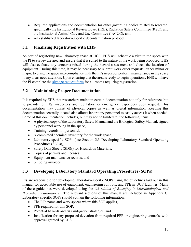- Required applications and documentation for other governing bodies related to research, specifically the Institutional Review Board (IRB), Radiation Safety Committee (RSC), and the Institutional Animal Care and Use Committee (IACUC); and
- An established laboratory-specific decontamination protocol.

# <span id="page-14-0"></span>**3.1 Finalizing Registration with EHS**

As part of registering new laboratory space at UCF, EHS will schedule a visit to the space with the PI to survey the area and ensure that it is suited to the nature of the work being proposed. EHS will also evaluate any concerns raised during the hazard assessment and check the location of equipment. During this time, it may be necessary to submit work order requests, either minor or major, to bring the space into compliance with the PI's needs, or perform maintenance in the space if any areas need attention. Upon ensuring that the area is ready to begin operations, EHS will have the PI complete the [signage request form](https://ehs.ucf.edu/lab-sign-request) for all rooms requiring registration.

# <span id="page-14-1"></span>**3.2 Maintaining Proper Documentation**

It is required by EHS that researchers maintain certain documentation not only for reference, but to provide to EHS, inspectors and regulators, or emergency responders upon request. This documentation may consist of physical copies as well as digital information. Keeping this documentation centrally located also allows laboratory personnel to easily access it when needed. Some of this documentation includes, but may not be limited to, the following items:

- A physical copy of the Laboratory Safety Manual and the Biological Safety Manual, signed by personnel working in the space,
- Training records for personnel,
- A completed chemical inventory for the work space,
- Laboratory-specific SOPs (see Section 3.3 Developing Laboratory Standard Operating Procedures (SOPs)),
- Safety Data Sheets (SDSs) for Hazardous Materials,
- Copies of permits and licenses,
- Equipment maintenance records, and
- Shipping invoices.

# <span id="page-14-2"></span>**3.3 Developing Laboratory Standard Operating Procedures (SOPs)**

PIs are responsible for developing laboratory-specific SOPs using the guidelines laid out in this manual for acceptable use of equipment, engineering controls, and PPE in UCF facilities. Many of these guidelines were developed using the *6th edition of Biosafety in Microbiological and Biomedical Laboratories*. The relevant sections of this manual are included in Appendix C. Laboratory-specific SOPs should contain the following information:

- The PI's name and work spaces where this SOP applies,
- PPE required for this SOP,
- Potential hazards and risk mitigation strategies, and
- Justification for any proposed deviation from required PPE or engineering controls, with approval granted by EHS.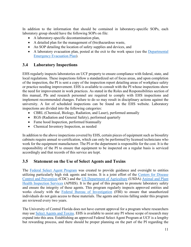In addition to the information that should be contained in laboratory-specific SOPs, each laboratory group should have the following SOPs on file:

- A laboratory-specific decontamination plan,
- A detailed plan for the management of (bio)hazardous waste,
- An SOP detailing the location of safety supplies and devices, and
- A laboratory evacuation plan, posted at the exit to the work space (see the Departmental Emergency Evacuation Plan).

# <span id="page-15-0"></span>**3.4 Laboratory Inspections**

EHS regularly inspects laboratories on UCF property to ensure compliance with federal, state, and local regulations. These inspections follow a standardized set of focus areas, and upon completion of the inspection, the PI is sent a copy of the inspection report detailing areas of workplace safety or practice needing improvement. EHS is available to consult with the PI whose inspections show the need for improvement in work practices. As stated in the Roles and Responsibilities section of this manual, PIs and research personnel are required to comply with EHS inspections and implement recommended changes. Failure to do so may result in disciplinary actions against the university. A list of scheduled inspections can be found on the EHS website. Laboratory inspections are divided into the following categories:

- CBRL (Chemical, Biology, Radiation, and Laser), performed annually
- RGS (Radiation and General Safety), performed quarterly
- Fume hood Inspection, performed biannually
- Chemical Inventory Inspection, as needed

In addition to the above inspections covered by EHS, certain pieces of equipment such as biosafety cabinets require annual re-certification, which can only be performed by licensed technicians who work for the equipment manufacturer. The PI or the department is responsible for the cost. It is the responsibility of the PI to ensure that equipment to be inspected on a regular basis is serviced accordingly and that records of this service are kept.

# <span id="page-15-1"></span>**3.5 Statement on the Use of Select Agents and Toxins**

The [Federal Select Agent Program](https://www.selectagents.gov/) was created to provide guidance and oversight to entities utilizing particularly high risk agents and toxins. It is a joint effort of the [Centers for Disease](http://www.cdc.gov/)  [Control and Prevention](http://www.cdc.gov/) (CDC) and the [US Department of Agriculture](https://www.usda.gov/) (USDA) [Animal and Plant](https://www.aphis.usda.gov/aphis/home/)  [Health Inspection Services](https://www.aphis.usda.gov/aphis/home/) (APHIS). It is the goal of this program to promote laboratory safety and ensure the integrity of these agents. This program regularly inspects approved entities and works closely with the [Federal Bureau of Investigation](https://www.fbi.gov/) (FBI) to ensure that unauthorized individuals do not gain access to these materials. The agents and toxins falling under this program are reviewed every two years.

The University of Central Florida does not have current approval for a program where researchers may use [Select Agents and Toxins.](https://www.selectagents.gov/sat/list.htm) EHS is available to assist any PI whose scope of research may expand into this area. Establishing an approved Federal Select Agent Program at UCF is a lengthy but rewarding process, and there should be proper planning on the part of the PI regarding the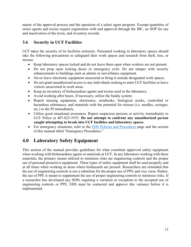nature of the approval process and the operation of a select agent program. Exempt quantities of select agents and toxins require registration with and approval through the IBC, an SOP for use and inactivation of the toxin, and inventory records.

# <span id="page-16-0"></span>**3.6 Security in UCF Facilities**

UCF takes the security of its facilities seriously. Personnel working in laboratory spaces should take the following precautions to safeguard their work spaces and research from theft, loss, or misuse:

- Keep laboratory spaces locked and do not leave them open when workers are not present.
- Do not prop open locking doors or emergency exits. Do not tamper with security enhancements to buildings such as alarms or surveillance equipment.
- Never leave electronic equipment unsecured or bring it outside designated work spaces.
- Do not grant unauthorized access to any individuals seeking to enter UCF facilities or leave visitors unescorted in work areas.
- Keep an inventory of biohazardous agents and toxins used in the laboratory.
- Avoid working after hours. If necessary, utilize the buddy system.
- Report missing equipment, electronics, notebooks, biological stocks, controlled or hazardous substances, and materials with the potential for misuse (i.e. needles, syringes, etc.) to the PI immediately.
- Utilize good situational awareness. Report suspicious persons or activity immediately to UCF Police at 407-823-5555. **Do not attempt to confront any unauthorized person caught attempting to break into UCF facilities and laboratory spaces**.
- For emergency situations, refer to the [EHS Policies and Procedures](http://www.ehs.ucf.edu/policies) page and the section of this manual titled "Emergency Procedures."

# <span id="page-16-1"></span>**4.0 Laboratory Safety Equipment**

This section of the manual provides guidelines for what constitute approved safety equipment when working with biohazardous agents or materials at UCF. In any laboratory working with these materials, the primary means utilized to minimize risks are engineering controls and the proper use of personal protective equipment. These types of safety equipment shall be used properly and at all times when working in areas where biohazards are present. Researchers are reminded that the use of engineering controls is not a substitute for the proper use of PPE and vice versa. Rather, the use of PPE is meant to supplement the use of proper engineering controls to minimize risks. If a researcher has developed any SOPs requiring a variation or exception to the accepted use of engineering controls or PPE, EHS must be contacted and approve this variance before it is implemented.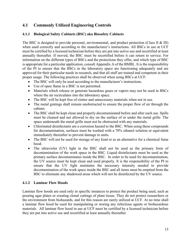# <span id="page-17-0"></span>**4.1 Commonly Utilized Engineering Controls**

#### <span id="page-17-1"></span>**4.1.1 Biological Safety Cabinets (BSC) aka Biosafety Cabinets**

The BSC is designed to provide personal, environmental, and product protection (Class II & III) when used correctly and according to the manufacturer's instructions. All BSCs in use at UCF must be certified by a licensed technician before they are put into active use and recertified at least annually thereafter. If moved, the BSC must be recertified before it can return to service. For information on the different types of BSCs and the protections they offer, and which type of BSC is appropriate for a particular application, consult Appendix A of the BMBL. It is the responsibility of the PI to ensure that the BSCs in the laboratory space are functioning adequately and are approved for their particular needs in research, and that all staff are trained and competent in their proper usage. The following practices shall be observed when using BSCs at UCF:

- The BSC will only be used according to the manufacturer's instructions.
- Use of open flame in a BSC is not permitted.
- Materials which release or generate hazardous gases or vapors may not be used in BSCs where the air recirculates into the laboratory space.
- The BSC will be kept free of clutter and unnecessary materials when not in use.
- The metal gratings shall remain unobstructed to ensure the proper flow of air through the cabinet.
- The BSC shall be kept clean and properly decontaminated before and after each use. Spills must be cleaned and not allowed to dry on the surface of or under the metal grille. The space underneath the metal grille must not be obstructed with any materials.
- Chlorinated disinfectants are a corrosion hazard to the BSC. When using these compounds for decontamination, surfaces must be washed with a 70% ethanol solution or equivalent immediately thereafter to prevent damage to units.
- The BSC will not be used for storage of any kind or as an alternative for a chemical fume hood.
- The ultraviolet (UV) light in the BSC shall not be used as the primary form of decontamination of the work space in the BSC. Liquid disinfectants must be used as the primary surface decontaminates inside the BSC. In order to be used for decontamination, the UV source must be kept clean and used properly. It is the responsibility of the PI to ensure that the UV light maintains the necessary intensity needed to provide decontamination of the work space inside the BSC and all items must be emptied from the BSC to eliminate any shadowed areas which will not be disinfected by the UV source.

#### <span id="page-17-2"></span>**4.1.2 Laminar Flow Hoods**

Laminar flow hoods are used only in specific instances to protect the product being used, such as pouring agar plates or creating clonal cuttings of plant tissue. They do not protect researchers or the environment from biohazards, and for this reason are rarely utilized at UCF. At no time shall a laminar flow hood be used for manipulating or storing any infectious agents or biohazardous materials. All laminar flow hood in use at UCF must be certified by a licensed technician before they are put into active use and recertified at least annually thereafter.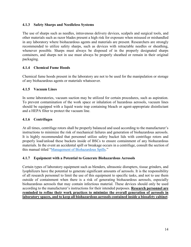#### <span id="page-18-0"></span>**4.1.3 Safety Sharps and Needleless Systems**

The use of sharps such as needles, intravenous delivery devices, scalpels and surgical tools, and other materials such as razor blades present a high risk for exposure when misused or mishandled in any laboratory where biohazardous agents and materials are present. Researchers are strongly recommended to utilize safety sharps, such as devices with retractable needles or sheathing, whenever possible. Sharps must always be disposed of in the properly designated sharps containers, and sharps not in use must always be properly sheathed or remain in their original packaging.

#### <span id="page-18-1"></span>**4.1.4 Chemical Fume Hoods**

Chemical fume hoods present in the laboratory are not to be used for the manipulation or storage of any biohazardous agents or materials whatsoever.

#### <span id="page-18-2"></span>**4.1.5 Vacuum Lines**

In some laboratories, vacuum suction may be utilized for certain procedures, such as aspiration. To prevent contamination of the work space or inhalation of hazardous aerosols, vacuum lines should be equipped with a liquid waste trap containing bleach or agent-appropriate disinfectant and a HEPA filter to protect the vacuum line.

#### <span id="page-18-3"></span>**4.1.6 Centrifuges**

At all times, centrifuge rotors shall be properly balanced and used according to the manufacturer's instructions to minimize the risk of mechanical failures and generation of biohazardous aerosols. It is highly recommended that personnel utilize safety bucket lids with centrifuge rotors and properly load/unload these buckets inside of BSCs to ensure containment of any biohazardous materials. In the event an accidental spill or breakage occurs in a centrifuge, consult the section of this manual titled ["Management of Biohazardous Spills.](#page-21-0)"

#### <span id="page-18-4"></span>**4.1.7 Equipment with a Potential to Generate Biohazardous Aerosols**

Certain types of laboratory equipment such as blenders, ultrasonic disrupters, tissue grinders, and lyophilizers have the potential to generate significant amounts of aerosols. It is the responsibility of all research personnel to limit the use of this equipment to specific tasks, and not to use them outside of containment when there is a risk of generating biohazardous aerosols, especially biohazardous aerosols that may contain infectious material. These devices should only be used according to the manufacturer's instructions for their intended purposes. **Research personnel are reminded to refine their work practices to minimize the overall generation of aerosols in laboratory spaces, and to keep all biohazardous aerosols contained inside a biosafety cabinet**.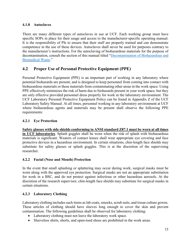#### <span id="page-19-0"></span>**4.1.8 Autoclaves**

There are many different types of autoclaves in use at UCF. Each working group must have specific SOPs in place for their usage and access to the manufacturer-specific operating manual. It is the responsibility of PIs to ensure that their staff are properly trained and can demonstrate competence in the use of these devices. Autoclaves shall never be used for purposes contrary to the manufacturer's instructions. For the autoclaving of biohazardous materials for the purpose of decontamination, consult the section of this manual titled ["Decontamination of Biohazardous and](#page-27-0)  [Biomedical Waste.](#page-27-0)"

# <span id="page-19-1"></span>**4.2 Proper Use of Personal Protective Equipment (PPE)**

Personal Protective Equipment (PPE) is an important part of working in any laboratory where potential biohazards are present, and is designed to keep personnel from coming into contact with biohazardous materials or these materials from contaminating other areas in the work space. Using PPE effectively minimizes the risk of harm due to biohazards present in your work space, but they are only effective provided personnel dress properly for work in the laboratory environment. The UCF Laboratory Personal Protective Equipment Policy can be found in Appendix Z of the UCF Laboratory Safety Manual. At all times, personnel working in any laboratory environment at UCF where biohazardous agents and materials may be present shall observe the following PPE requirements:

#### <span id="page-19-2"></span>**4.2.1 Eye Protection**

**Safety glasses with side shields conforming to ANSI standard Z87.1 must be worn at all times in UCF laboratories**. Splash goggles shall be worn when the risk of splash with biohazardous materials is significant. Wearers of contact lenses shall wear appropriate eye covering and face protective devices in a hazardous environment. In certain situations, chin-length face shields may substitute for safety glasses or splash goggles. This is at the discretion of the supervising researcher.

#### <span id="page-19-3"></span>**4.2.2 Facial (Nose and Mouth) Protection**

In the event that small splashing or splattering may occur during work, surgical masks must be worn along with the approved eye protection. Surgical masks are not an appropriate substitution for work in a BSC, and do not protect against infectious or other hazardous aerosols. At the discretion of the research supervisor, chin-length face shields may substitute for surgical masks in certain situations.

#### <span id="page-19-4"></span>**4.2.3 Laboratory Clothing**

Laboratory clothing includes such items as lab coats, smocks, scrub suits, and tissue culture gowns. These articles of clothing should have sleeves long enough to cover the skin and prevent contamination. The following guidelines shall be observed for laboratory clothing:

- Laboratory clothing must not leave the laboratory work space.
- Sleeveless shirts, shorts, and open-toed shoes are prohibited in the work areas.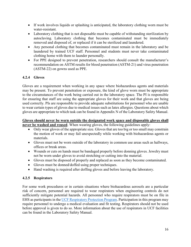- If work involves liquids or splashing is anticipated, the laboratory clothing worn must be water-resistant.
- Laboratory clothing that is not disposable must be capable of withstanding sterilization by autoclaving. Laboratory clothing that becomes contaminated must be immediately removed and disposed of, or replaced if it can be sterilized and laundered.
- Any personal clothing that becomes contaminated must remain in the laboratory and be laundered by trained UCF staff. Personnel and students must never take contaminated clothing home with them to launder personally.
- For PPE designed to prevent penetration, researchers should consult the manufacturer's recommendation on ASTM results for blood penetration (ASTM-21) and virus penetration (ASTM-22) on gowns used as PPE.

#### <span id="page-20-0"></span>**4.2.4 Gloves**

Gloves are a requirement when working in any space where biohazardous agents and materials may be present. To prevent penetration or exposure, the kind of glove worn must be appropriate to the circumstances of the work being carried out in the laboratory space. The PI is responsible for ensuring that staff are using the appropriate gloves for their work and that gloves are being used correctly. PIs are responsible to provide adequate substitutions for personnel who are unable to wear certain types of gloves due to medical issues such as latex allergies. Questions about which gloves are appropriate to which task can be found in Appendix N of the Laboratory Safety Manual.

#### **Gloves should never be worn outside the designated work space and disposable gloves shall never be washed and reused**. When wearing gloves, the following guidelines apply:

- Only wear gloves of the appropriate size. Gloves that are too big or too small may constrain the motion of work or may fail unexpectedly while working with biohazardous agents or materials.
- Gloves must not be worn outside of the laboratory in common use areas such as hallways, offices or break areas.
- Wounds or cuts on hands must be bandaged properly before donning gloves. Jewelry must not be worn under gloves to avoid stretching or cutting into the material.
- Gloves must be disposed of properly and replaced as soon as they become contaminated.
- Gloves must be donned/doffed using proper techniques.
- Hand washing is required after doffing gloves and before leaving the laboratory.

#### <span id="page-20-1"></span>**4.2.5 Respirators**

For some work procedures or in certain situations where biohazardous aerosols are a particular risk of concern, personnel are required to wear respirators when engineering controls do not sufficiently mitigate potential hazards. All personnel who require respirators must be on file in EHS as participants in the [UCF Respiratory Protection Program.](https://ehs.ucf.edu/wp-content/uploads/sites/3/2019/08/Respiratory-Protection-Procedure.pdf) Participation in this program may require personnel to undergo a medical evaluation and fit testing. Respirators should not be used before approval is given to do so. More information about the use of respirators in UCF facilities can be found in the Laboratory Safety Manual.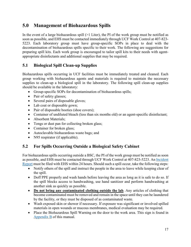# <span id="page-21-0"></span>**5.0 Management of Biohazardous Spills**

In the event of a large biohazardous spill  $(>1$  Liter), the PI of the work group must be notified as soon as possible, and EHS must be contacted immediately through UCF Work Control at 407-823- 5223. Each laboratory group must have group-specific SOPs in place to deal with the decontamination of biohazardous spills specific to their work. The following are suggestions for preparing spill kits. Each work group is encouraged to tailor spill kits to their needs with agentappropriate disinfectants and additional supplies that may be required.

# <span id="page-21-1"></span>**5.1 Biological Spill Clean-up Supplies**

Biohazardous spills occurring in UCF facilities must be immediately treated and cleaned. Each group working with biohazardous agents and materials is required to maintain the necessary supplies to clean-up a biological spill in the laboratory. The following spill clean-up supplies should be available in the laboratory:

- Group-specific SOPs for decontamination of biohazardous spills;
- Pair of safety glasses;
- Several pairs of disposable gloves;
- Lab coat or disposable gown;
- Pair of disposable booties (shoe covers);
- Container of undiluted bleach (less than six months old) or an agent-specific disinfectant;
- Absorbent Materials:
- Tongs or dust pan for collecting broken glass;
- Container for broken glass;
- Autoclavable biohazardous waste bags; and
- N95 respirator (if applicable).

# <span id="page-21-2"></span>**5.2 For Spills Occurring Outside a Biological Safety Cabinet**

For biohazardous spills occurring outside a BSC, the PI of the work group must be notified as soon as possible, and EHS must be contacted through UCF Work Control at 407-823-5223. An Incident Report must be filed with EHS within 24 hours. Should such a spill occur, take the following steps:

- Notify others of the spill and instruct the people in the area to leave while keeping clear of the spill.
- Doff PPE properly and wash hands before leaving the area as long as it is safe to do so. If the spill blocks access to handwashing, use hand sanitizer and perform handwashing at another sink as quickly as possible.
- **Do not bring any contaminated clothing outside the lab**. Any articles of clothing that become contaminated must be removed and remain in the space until they can be laundered by the facility, or they must be disposed of as contaminated waste.
- Wash exposed skin or shower if necessary. If exposure was significant or involved spilled materials in open wounds or mucous membranes, medical evaluation may be required.
- Place the Biohazardous Spill Warning on the door to the work area. This sign is found in [Appendix B](#page-34-0) of this manual.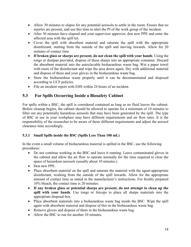- Allow 30 minutes to elapse for any potential aerosols to settle in the room. Ensure that no injuries are present, and use this time to alert the PI of the work group of the incident.
- After 30 minutes have elapsed and your supervisor approves, don new PPE and enter the affected area with the spill kit.
- Cover the spill with absorbent material and saturate the spill with the appropriate disinfectant, starting from the outside of the spill and moving inwards. Allow for 20 minutes of contact time.
- **If broken glass or sharps are present, do not clean the spill with your hands**. Using the tongs or dustpan provided, dispose of these sharps into an appropriate container. Discard the absorbent material into the autoclavable biohazardous waste bag. Wet a paper towel with more of the disinfectant and wipe the area down again. Dry with additional material and dispose of these and your gloves in the biohazardous waste bag.
- Store the biohazardous waste properly until it can be decontaminated and disposed according to UCF policies.
- File an incident report with EHS within 24 hours of an incident.

# <span id="page-22-0"></span>**5.3 For Spills Occurring Inside a Biosafety Cabinet**

For spills within a BSC, the spill is considered contained as long as no fluid leaves the cabinet. Before cleanup begins, the cabinet should be allowed to operate for a minimum of 10 minutes to filter out any potentially hazardous aerosols that may have been generated by the spill. The type of BSC in use in your workplace may have different requirements and air flow rates. It is the responsibility of the researcher to be aware of these different requirements and adjust the aerosol clearance time accordingly.

## <span id="page-22-1"></span>**5.3.1 Small Spills inside the BSC (Spills Less Than 100 mL)**

In the event a small volume of biohazardous material is spilled in the BSC, use the following procedures:

- Do not continue working in the BSC and leave it running. Leave contaminated gloves in the cabinet and allow the air flow to operate normally for the time required to clear the space of hazardous aerosols (usually about 10 minutes.)
- Don new PPE.
- Place absorbent material on the spill and saturate the material with the agent-appropriate disinfectant, working from the outside of the spill inwards. Allow for the appropriate amount of contact time as stated in the manufacturer's instructions. For freshly prepared 10% bleach, the contact time is 20 minutes.
- **If any broken glass or potential sharps are present, do not attempt to clean up the spill with your hands**. Use tongs or forceps to place all sharps materials into the appropriate disposal box.
- Place absorbent materials into a biohazardous waste bag inside the BSC. Wipe the spill again with absorbent material and dispose of this in the biohazardous waste bag.
- Remove gloves and dispose of them in the biohazardous waste bag.
- Allow the BSC to run for another 10 minutes.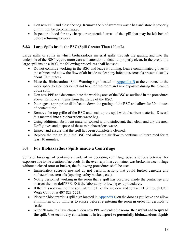- Don new PPE and close the bag. Remove the biohazardous waste bag and store it properly until it will be decontaminated.
- Inspect the hood for any sharps or unattended areas of the spill that may be left behind before returning to work.

#### <span id="page-23-0"></span>**5.3.2 Large Spills inside the BSC (Spill Greater Than 100 mL)**

Large spills or spills in which biohazardous material spills through the grating and into the underside of the BSC require more care and attention to detail to properly clean. In the event of a large spill inside a BSC, the following procedures shall be used:

- Do not continue working in the BSC and leave it running. Leave contaminated gloves in the cabinet and allow the flow of air inside to clear any infectious aerosols present (usually about 10 minutes).
- Place the Biohazardous Spill Warning sign located in  $\Delta$ ppendix  $\overline{B}$  at the entrance to the work space to alert personnel not to enter the room and risk exposure during the cleanup of the spill.
- Don new PPE and decontaminate the working area of the BSC as outlined in the procedures above. Remove all items from the inside of the BSC.
- Pour agent-appropriate disinfectant down the grating of the BSC and allow for 30 minutes of contact time.
- Remove the top grille of the BSC and soak up the spill with absorbent material. Discard this material into a biohazardous waste bag.
- Using additional absorbent material soaked with disinfectant, then clean and dry the area. Doff gloves and dispose of these as biohazardous waste.
- Inspect and ensure that the spill has been completely cleaned.
- Replace the top grille in the BSC and allow the air flow to continue uninterrupted for at least 10 minutes.

# <span id="page-23-1"></span>**5.4 For Biohazardous Spills inside a Centrifuge**

Spills or breakage of containers inside of an operating centrifuge pose a serious potential for exposure due to the creation of aerosols. In the event a primary container was broken in a centrifuge without a closed rotor or bucket, the following procedures shall be used:

- Immediately suspend use and do not perform actions that could further generate any biohazardous aerosols (opening safety buckets, etc.).
- Notify personnel working in the room that a spill has occurred inside the centrifuge and instruct them to doff PPE. Exit the laboratory following exit procedures.
- If the PI is not aware of the spill, alert the PI of the incident and contact EHS through UCF Work Control at 407-823-5223.
- Place the biohazardous spill sign located in  $\Delta$ ppendix  $\overline{B}$  on the door as you leave and allow a minimum of 30 minutes to elapse before re-entering the room in order for aerosols to settle.
- After 30 minutes have elapsed, don new PPE and enter the room. **Be careful not to spread the spill. Use secondary containment in transport so potentially biohazardous liquids**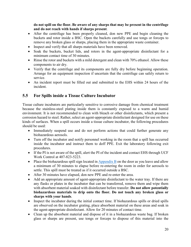**do not spill on the floor. Be aware of any sharps that may be present in the centrifuge and do not reach with hands if sharps present**.

- After the centrifuge has been properly cleaned, don new PPE and begin cleaning the buckets and rotor inside a BSC. Open the buckets carefully and use tongs or forceps to remove any broken glass or sharps, placing them in the appropriate waste container.
- Inspect and verify that all sharps materials have been removed.
- Soak the buckets, bucket lids, and rotors in the agent-appropriate disinfectant for a minimum contact time of 30 minutes.
- Rinse the rotor and buckets with a mild detergent and clean with 70% ethanol. Allow these components to air dry.
- Verify that the centrifuge and its components are fully dry before beginning operation. Arrange for an equipment inspection if uncertain that the centrifuge can safely return to service.
- An incident report must be filled out and submitted to the EHS within 24 hours of the incident.

# <span id="page-24-0"></span>**5.5 For Spills inside a Tissue Culture Incubator**

Tissue culture incubators are particularly sensitive to corrosive damage from chemical treatment because the stainless-steel plating inside them is constantly exposed to a warm and humid environment. It is not recommended to clean with bleach or other disinfectants, which present a corrosion hazard to steel. Rather, select an agent-appropriate disinfectant designed for use on these kinds of surfaces. When a spill occurs inside a tissue culture incubator, the following procedures should be used:

- Immediately suspend use and do not perform actions that could further generate any biohazardous aerosols.
- Turn off the incubator and notify personnel working in the room that a spill has occurred inside the incubator and instruct them to doff PPE. Exit the laboratory following exit procedures.
- If the PI is not aware of the spill, alert the PI of the incident and contact EHS through UCF Work Control at 407-823-5223.
- Place the biohazardous spill sign located in [Appendix B](#page-34-0) on the door as you leave and allow a minimum of 30 minutes to elapse before re-entering the room in order for aerosols to settle. This spill must be treated as if it occurred outside a BSC.
- After 30 minutes have elapsed, don new PPE and re-enter the area.
- Add an appropriate amount of agent-appropriate disinfectant to the water tray. If there are any flasks or plates in the incubator that can be transferred, remove them and wipe them with absorbent material soaked with disinfectant before transfer. **Do not allow potentially biohazardous materials to drip onto the floor. Do not touch any broken glass or sharps with your hands**.
- Inspect the incubator during the initial contact time. If biohazardous spills or dried spills are observed on the incubator grating, place absorbent material on these areas and soak in the agent-appropriate disinfectant. Allow for 20 minutes of contact time.
- Clean up the absorbent material and dispose of it in a biohazardous waste bag. If broken glass or sharps are present, use tongs or forceps to dispose of this material into the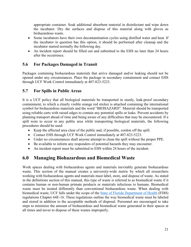appropriate container. Soak additional absorbent material in disinfectant and wipe down the incubator. Dry the surfaces and dispose of this material along with gloves as biohazardous waste.

- Some incubators have their own decontamination cycles using distilled water and heat. If the incubator in question has this option, it should be performed after cleanup and the incubator started normally the following day.
- An incident report should be filled out and submitted to the EHS no later than 24 hours after the occurrence.

# <span id="page-25-0"></span>**5.6 For Packages Damaged in Transit**

Packages containing biohazardous materials that arrive damaged and/or leaking should not be opened under any circumstances. Place the package in secondary containment and contact EHS through UCF Work Control immediately at 407-823-5223.

# <span id="page-25-1"></span>**5.7 For Spills in Public Areas**

It is a UCF policy that all biological materials be transported in sturdy, leak-proof secondary containment, to which a clearly visible orange red sticker is attached containing the international symbol for biohazardous materials and the word "BIOHAZARD". Material should be transported using reliable carts with raised edges to contain any potential spills or leaks. Prevent accidents by planning transport ahead of time and being aware of any difficulties that may be encountered. If a spill were to occur in any public area while transporting biological materials, the following procedures should be used:

- Keep the affected area clear of the public and, if possible, cordon off the spill.
- Contact EHS through UCF Work Control immediately at 407-823-5223.
- Under no circumstances shall anyone attempt to clean the spill without the proper PPE.
- Be available to inform any responders of potential hazards they may encounter.
- An incident report must be submitted to EHS within 24 hours of the incident.

# <span id="page-25-2"></span>**6.0 Managing Biohazardous and Biomedical Waste**

Work spaces dealing with biohazardous agents and materials inevitably generate biohazardous waste. This section of the manual creates a university-wide metric by which all researchers working with biohazardous agents and materials must label, store, and dispose of waste. As stated in the definitions section of this manual, this type of waste is referred to as biomedical waste if it contains human or non-human primate products or materials infectious to humans. Biomedical waste must be treated differently than conventional biohazardous waste. When dealing with biomedical waste, UCF falls under the scope of the [State of Florida Department of Health](http://www.floridahealth.gov/) (FDH) regulations Chapter 64E-16. These regulations outline the way biomedical waste must be labeled and stored in addition to the acceptable methods of disposal. Personnel are encouraged to take steps to minimize the amount of biohazardous and biomedical waste generated in their spaces at all times and never to dispose of these wastes improperly.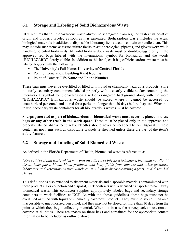## <span id="page-26-0"></span>**6.1 Storage and Labeling of Solid Biohazardous Waste**

UCF requires that all biohazardous waste always be segregated from regular trash at its point of origin and properly labeled as soon as it is generated. Biohazardous waste includes the actual biological materials in addition to disposable laboratory items used to contain or handle them. This may include such items as tissue culture flasks, plastic serological pipettes, and gloves worn while handling potential biohazards. All solid biohazardous waste must be double-bagged only in the approved red bags labeled with the international symbol for biohazards and the words "BIOHAZARD" clearly visible. In addition to this label, each bag of biohazardous waste must be labeled legibly with the following:

- The University's Full Name: **University of Central Florida**
- Point of Generation: **Building #** and **Room #**
- Point of Contact: **PI's Name** and **Phone Number**

These bags must never be overfilled or filled with liquid or chemically hazardous products. Store in sturdy secondary containment labeled properly with a clearly visible sticker containing the international symbol for biohazards on a red or orange-red background along with the word "BIOHAZARD." Biohazardous waste should be stored where it cannot be accessed by unauthorized personnel and stored for a period no longer than 30 days before disposal. When not in use, secondary waste containers for all biohazardous wastes must be covered.

**Sharps generated as part of biohazardous or biomedical waste must never be placed in these bags or any other trash in the work space**. These must be placed only in the approved and properly labeled sharps receptacles. Needles should never be recapped before disposal in these containers nor items such as disposable scalpels re-sheathed unless these are part of the item's safety features.

## <span id="page-26-1"></span>**6.2 Storage and Labeling of Solid Biomedical Waste**

As defined in the Florida Department of Health, biomedical waste is referred to as:

*"Any solid or liquid waste which may present a threat of infection to humans, including non-liquid tissue, body parts, blood, blood products, and body fluids from humans and other primates; laboratory and veterinary wastes which contain human disease-causing agents; and discarded sharps."* 

This definition is also extended to absorbent materials and disposable materials contaminated with these products. For collection and disposal, UCF contracts with a licensed transporter to haul away biomedical waste. This contractor supplies appropriately labeled bags and secondary storage containers to work facilities at UCF. As with the above guidelines, these bags must not be overfilled or filled with liquid or chemically hazardous products. They must be stored in an area inaccessible to unauthorized personnel, and they may not be stored for more than 30 days from the point at which they begin collecting material. When not in use, these receptacles must remain covered at all times. There are spaces on these bags and containers for the appropriate contact information to be included as outlined above.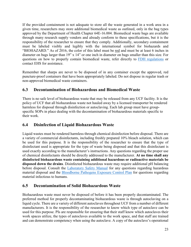If the provided containment is not adequate to store all the waste generated in a work area in a given time, researchers may store additional biomedical waste as outlined, only in the bag types approved by the Department of Health Chapter 64E-16.004. Biomedical waste bags are available through many research supply vendors and already conform to these specifications, but it is the responsibility of the researcher to ensure that they comply. Additionally, secondary containment must be labeled visibly and legibly with the international symbol for biohazards and "BIOHAZARD." As of 2016, the color of this label must be red and must be at least 6 inches in diameter on bags larger than 19" x 14" or one inch in diameter on bags smaller than this size. For questions on how to properly contain biomedical waste, refer directly to [FDH regulations](https://www.flrules.org/gateway/ChapterHome.asp?Chapter=64E-16) or contact EHS for assistance.

Remember that sharps are never to be disposed of in any container except the approved, red puncture-proof containers that have been appropriately labeled. Do not dispose in regular trash or non-approved biomedical waste containers.

# <span id="page-27-0"></span>**6.3 Decontamination of Biohazardous and Biomedical Waste**

There is no safe level of biohazardous waste that may be released from any UCF facility. It is the policy of UCF that all biohazardous waste not hauled away by a licensed transporter be rendered harmless for disposal through disinfection or autoclaving. Each lab group must have groupspecific SOPs in place dealing with the decontamination of biohazardous materials specific to their work.

# <span id="page-27-1"></span>**6.4 Disinfection of Liquid Biohazardous Waste**

Liquid wastes must be rendered harmless through chemical disinfection before disposal. There are a variety of commercial disinfectants, including freshly prepared 10% bleach solution, which can be used for this purpose. It is the responsibility of the researcher to ensure that the type of disinfectant used is appropriate for the type of waste being disposed and that this disinfectant is used exactly according to the manufacturer's instructions. Any questions regarding the proper use of chemical disinfectants should be directly addressed to the manufacturer. **At no time shall any disinfected biohazardous waste containing additional hazardous or radioactive materials be disposed down the drains**. Disinfected biohazardous waste may require additional pH balancing before disposal. Consult the [Laboratory Safety Manual](https://ehs.ucf.edu/wp-content/uploads/sites/3/2021/08/Laboratory-Safety-Manual-2018.pdf) for any questions regarding hazardous material disposal and the [Bloodborne Pathogens Exposure Control Plan](https://ehs.ucf.edu/wp-content/uploads/sites/3/2019/10/UCF-BBP-ECP_8-26-2019.approved.pdf) for questions regarding material infectious to humans.

## <span id="page-27-2"></span>**6.5 Decontamination of Solid Biohazardous Waste**

Biohazardous waste must never be disposed of before it has been properly decontaminated. The preferred method for properly decontaminating biohazardous waste is through autoclaving on a liquid cycle. There are a variety of different autoclaves throughout UCF from a number of different manufacturers. It is the responsibility of the researcher to know which type of autoclave can be used for this purpose. PIs are responsible for ensuring that their staff know which autoclaves their work spaces utilize, the types of autoclaves available to the work space, and that staff are trained and can demonstrate competency when using the autoclave. A copy of the autoclave's operational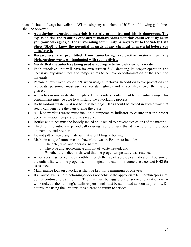manual should always be available. When using any autoclave at UCF, the following guidelines shall be observed:

- **Autoclaving hazardous materials is strictly prohibited and highly dangerous. The explosion risk and resulting exposure to biohazardous materials could seriously harm you, your colleagues, or the surrounding community. Always refer to the Safety Data Sheet (SDS) to know the potential hazards of any chemical or material before you autoclave it.**
- **Researchers are prohibited from autoclaving radioactive material or any biohazardous waste contaminated with radioactivity.**
- **Verify that the autoclave being used is appropriate for biohazardous waste.**
- Each autoclave unit will have its own written SOP detailing its proper operation and necessary exposure times and temperatures to achieve decontamination of the specified materials.
- Personnel must wear proper PPE when using autoclaves. In addition to eye protection and lab coats, personnel must use heat resistant gloves and a face shield over their safety glasses.
- All biohazardous waste shall be placed in secondary containment before autoclaving. This containment must be able to withstand the autoclaving process.
- Biohazardous waste must not be in sealed bags. Bags should be closed in such a way that steam can penetrate the bags during the cycle.
- All biohazardous waste must include a temperature indicator to ensure that the proper decontamination temperature was reached.
- Bottles and tubes must be loosely sealed or unsealed to prevent explosions of the material.
- Check on the autoclave periodically during use to ensure that it is recording the proper temperature and pressure.
- Do not jolt or move any material that is bubbling or boiling.
- Maintain a log of autoclaved biohazardous waste. Be sure to include:
	- o The date, time, and operator name;
	- o The type and approximate amount of waste treated; and
	- o Whether the indicator showed that the proper temperature was reached.
- Autoclaves must be verified monthly through the use of a biological indicator. If personnel are unfamiliar with the proper use of biological indicators for autoclaves, contact EHS for assistance.
- Maintenance logs on autoclaves shall be kept for a minimum of one year.
- If an autoclave is malfunctioning or does not achieve the appropriate temperature/pressure, do not continue to use the unit. The unit must be tagged out of service to alert others. A work ticket to the building's facilities personnel must be submitted as soon as possible. Do not resume using the unit until it is cleared to return to service.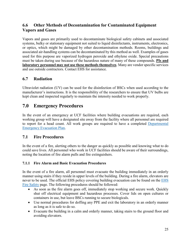# <span id="page-29-1"></span><span id="page-29-0"></span>**6.6 Other Methods of Decontamination for Contaminated Equipment Vapors and Gases**

Vapors and gases are primarily used to decontaminate biological safety cabinets and associated systems, bulky or stationary equipment not suited to liquid disinfectants, instruments, electronics, or optics, which might be damaged by other decontamination methods. Rooms, buildings and associated air-handling systems can be decontaminated by this method as well. Examples of gases used for this purpose are vaporized hydrogen peroxide and ethylene oxide. Special precautions must be taken during use because of the hazardous nature of many of these compounds. **PIs and laboratory personnel may not use these methods themselves**. Many are vendor specific services and use outside contractors. Contact EHS for assistance.

# <span id="page-29-2"></span>**6.7 Radiation**

Ultraviolet radiation (UV) can be used for the disinfection of BSCs when used according to the manufacturer's instructions. It is the responsibility of the researchers to ensure that UV bulbs are kept clean and inspected regularly to maintain the intensity needed to work properly.

# <span id="page-29-3"></span>**7.0 Emergency Procedures**

In the event of an emergency at UCF facilities where building evacuations are required, each working group will have a designated site away from the facility where all personnel are required to report for a head count. All work groups are required to have a completed Departmental Emergency Evacuation Plan.

## <span id="page-29-4"></span>**7.1 Fire Procedures**

In the event of a fire, alerting others to the danger as quickly as possible and knowing what to do could save lives. All personnel who work in UCF facilities should be aware of their surroundings, noting the location of fire alarm pulls and fire extinguishers.

#### <span id="page-29-5"></span>**7.1.1 Fire Alarm and Basic Evacuation Procedures**

In the event of a fire alarm, all personnel must evacuate the building immediately in an orderly manner using stairs if they reside in upper levels of the building. During a fire alarm, elevators are never to be used. The official EHS policy covering building evacuation can be found on the [EHS](https://ehs.ucf.edu/fire-safety)  [Fire Safety](https://ehs.ucf.edu/fire-safety) page. The following procedures should be followed:

- As soon as the fire alarm goes off, immediately stop working and secure work. Quickly shut off electrical equipment and hazardous processes. Cover lids on open cultures or containers in use, but leave BSCs running to secure biologicals.
- Use normal procedures for doffing any PPE and exit the laboratory in an orderly manner as long as it is safe to do so.
- Evacuate the building in a calm and orderly manner, taking stairs to the ground floor and avoiding elevators.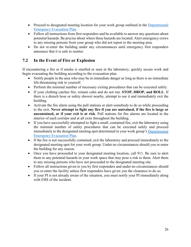- Proceed to designated meeting location for your work group outlined in the Departmental Emergency Evacuation Plan.
- Follow all instructions from first responders and be available to answer any questions about potential hazards. Be precise about where these hazards are located. Alert emergency crews to any missing persons from your group who did not report to the meeting area.
- Do not re-enter the building under any circumstances until emergency first responders announce that it is safe to reenter.

# <span id="page-30-0"></span>**7.2 In the Event of Fire or Explosion**

If encountering a fire or if smoke is smelled or seen in the laboratory, quickly secure work and begin evacuating the building according to the evacuation plan.

- Notify people in the area who may be in immediate danger as long as there is no immediate life-threatening risk to yourself.
- Perform the minimal number of necessary exiting procedures that can be executed safely.
- If your clothing catches fire, remain calm and do not run. **STOP, DROP, and ROLL**. If there is a drench hose or safety shower nearby, attempt to use it and immediately exit the building.
- Activate the fire alarm using the pull stations or alert somebody to do so while proceeding to the exit. **Never attempt to fight any fire if you are untrained, if the fire is large or uncontained, or if your exit is at risk**. Pull stations for fire alarms are located in the interior of each corridor and at all exits throughout the building.
- If you have successfully attempted to fight a small, contained fire, exit the laboratory using the minimal number of safety procedures that can be executed safely and proceed immediately to the designated meeting spot determined in your work group's Departmental Emergency Evacuation Plan.
- If the fire is not successfully contained, exit the laboratory and proceed immediately to the designated meeting spot for your work group. Under no circumstances should you re-enter the building for any reason.
- Once you have proceeded to your designated meeting location, call 911. Be sure to alert them to any potential hazards in your work space that may pose a risk to them. Alert them to any missing persons who have not proceeded to the designated meeting site.
- Follow all instructions given to you by first responders and under no circumstances should you re-enter the facility unless first responders have given you the clearance to do so.
- If your PI is not already aware of the situation, you must notify your PI immediately along with EHS of the incident.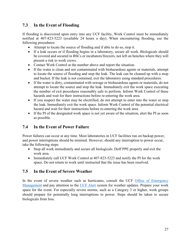# <span id="page-31-0"></span>**7.3 In the Event of Flooding**

If flooding is discovered upon entry into any UCF facility, Work Control must be immediately notified at 407-823-5223 (available 24 hours a day). When encountering flooding, use the following procedures:

- Attempt to locate the source of flooding and if able to do so, stop it.
- If a leak occurs or if flooding begins in a laboratory, secure all work. Biologicals should be covered and secured in BSCs or incubators/freezers, not left on benches where they will present a risk to work crews.
- Contact Work Control at the number above and report the situation.
- If the water is clean and not contaminated with biohazardous agents or materials, attempt to locate the source of flooding and stop the leak. The leak can be cleaned up with a mop and bucket. If the leak is not contained, exit the laboratory using standard procedures.
- If the water is dirty, contaminated with sewage or biohazardous agents or materials, do not attempt to locate the source and stop the leak. Immediately exit the work space executing the number of exit procedures reasonably safe to perform. Inform Work Control of these hazards and wait for their instructions before re-entering the work area.
- If you suspect the water may be electrified, do not attempt to enter into the water or stop the leak. Immediately exit the work space. Inform Work Control of the potential electrical hazard and wait for their instructions before re-entering the work area.
- If the PI of the designated work space is not yet aware of the situation, alert the PI as soon as possible.

# <span id="page-31-1"></span>**7.4 In the Event of Power Failure**

Power failures can occur at any time. Most laboratories in UCF facilities run on backup power, and power interruptions should be minimal. However, should any interruption to power occur, take the following steps:

- Stop all work immediately and secure all biologicals. Doff PPE properly and exit the work area.
- Immediately call UCF Work Control at 407-823-5223 and notify the PI for the work space. Do not return to work until instructed that the issue has been resolved.

# <span id="page-31-2"></span>**7.5 In the Event of Severe Weather**

In the event of severe weather such as hurricanes, consult the UCF [Office of Emergency](https://police.ucf.edu/emergencymanagement)  [Management](https://police.ucf.edu/emergencymanagement) and pay attention to the [UCF Alert](https://police.ucf.edu/ucfalert) system for weather updates. Prepare your work space for the event. For especially severe storms, such as a Category 3 or higher, work groups should prepare for potentially long interruptions to power. Steps should be taken to secure biologicals from loss.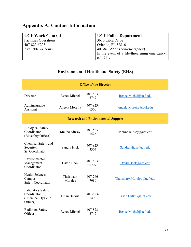# <span id="page-32-0"></span>**Appendix A: Contact Information**

| <b>UCF Work Control</b>      | <b>UCF Police Department</b>                  |
|------------------------------|-----------------------------------------------|
| <b>Facilities Operations</b> | 3610 Libra Drive                              |
| 407-823-5223                 | Orlando, FL 32816                             |
| Available 24 hours           | 407-823-5555 (non-emergency)                  |
|                              | In the event of a life-threatening emergency, |
|                              | call 911.                                     |

# **Environmental Health and Safety (EHS)**

| <b>Office of the Director</b>                                     |                      |                     |                           |
|-------------------------------------------------------------------|----------------------|---------------------|---------------------------|
| Director                                                          | Renee Michel         | 407-823-<br>3747    | Renee.Michel@ucf.edu      |
| Administrative<br>Assistant                                       | Angela Moreira       | 407-823-<br>6300    | Angela.Moreira@ucf.edu    |
| <b>Research and Environmental Support</b>                         |                      |                     |                           |
| <b>Biological Safety</b><br>Coordinator<br>(Biosafety Officer)    | Melina Kinsey        | 407-823-<br>1526    | Melina.Kinsey@ucf.edu     |
| Chemical Safety and<br>Security,<br>Sr. Coordinator               | Sandra Hick          | 407-823-<br>3307    | Sandra.Hick@ucf.edu       |
| Environmental<br>Management<br>Coordinator                        | David Bock           | 407-823-<br>0707    | David.Bock@ucf.edu        |
| <b>Health Sciences</b><br>Campus<br>Safety Coordinator            | Thaismary<br>Morales | $407 - 266$<br>7080 | Thaismary.Morales@ucf.edu |
| Laboratory Safety<br>Coordinator<br>(Chemical Hygiene<br>Officer) | <b>Brian Butkus</b>  | 407-823-<br>5498    | Brian.Butkus@ucf.edu      |
| <b>Radiation Safety</b><br>Officer                                | Renee Michel         | 407-823-<br>3747    | Renee.Michel@ucf.edu      |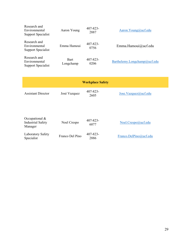| Research and<br>Environmental<br>Support Specialist        | Aaron Young              | $407 - 823 -$<br>2887 | Aaron.Young@ucf.edu          |
|------------------------------------------------------------|--------------------------|-----------------------|------------------------------|
| Research and<br>Environmental<br>Support Specialist        | Emma Hamoui              | $407 - 823 -$<br>0756 | Emma.Hamoui@ucf.edu          |
| Research and<br>Environmental<br><b>Support Specialist</b> | <b>Bart</b><br>Longchamp | $407 - 823 -$<br>0206 | Barthelemy.Longchamp@ucf.edu |

|                                                         |                 | <b>Workplace Safety</b> |                            |
|---------------------------------------------------------|-----------------|-------------------------|----------------------------|
| <b>Assistant Director</b>                               | José Vazquez    | $407 - 823 -$<br>2605   | Jose.Vazquez@ucf.edu       |
| Occupational $&$<br><b>Industrial Safety</b><br>Manager | Noel Crespo     | $407 - 823 -$<br>6077   | $N$ oel.Crespo $@$ ucf.edu |
| Laboratory Safety<br>Specialist                         | Franco Del Pino | $407 - 823 -$<br>2886   | Franco.DelPino@ucf.edu     |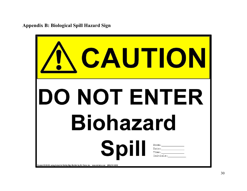**Appendix B: Biological Spill Hazard Sign**

<span id="page-34-0"></span>

| CAUTION                                                                                                             |           |
|---------------------------------------------------------------------------------------------------------------------|-----------|
| DO NOT ENTER<br><b>Biohazard</b>                                                                                    |           |
| Spill<br>Created 08.29.08, using Industrial Safety Sign Builder by St. Claire, Inc. www.stclaire.com (888) 741-8252 | Initials: |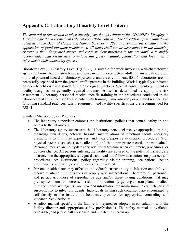# <span id="page-35-0"></span>**Appendix C: Laboratory Biosafety Level Criteria**

*The material in this section is taken directly from the 6th edition of the CDC/NIH's Biosafety in Microbiological and Biomedical Laboratories (BMBL 6th ed.). The 6th edition of this manual was released by the Dept. of Health and Human Services in 2020 and remains the standard in the application of good biosafety practices. At all times shall researchers adhere to the following criteria in their designated spaces and conform their practices to this standard. It is highly recommended that researchers download this freely available publication and keep it as a reference in their laboratory spaces.* 

Biosafety Level 1 Biosafety Level 1 (BSL-1) is suitable for work involving well-characterized agents not known to consistently cause disease in immunocompetent adult humans and that present minimal potential hazard to laboratory personnel and the environment. BSL-1 laboratories are not necessarily separated from the general traffic patterns in the building. Work is typically conducted on open benchtops using standard microbiological practices. Special containment equipment or facility design is not generally required but may be used as determined by appropriate risk assessment. Laboratory personnel receive specific training in the procedures conducted in the laboratory and are supervised by a scientist with training in microbiology or a related science. The following standard practices, safety equipment, and facility specifications are recommended for BSL-1.

Standard Microbiological Practices

- The laboratory supervisor enforces the institutional policies that control safety in and access to the laboratory.
- The laboratory supervisor ensures that laboratory personnel receive appropriate training regarding their duties, potential hazards, manipulations of infectious agents, necessary precautions to minimize exposures, and hazard/exposure evaluation procedures (e.g., physical hazards, splashes, aerosolization) and that appropriate records are maintained. Personnel receive annual updates and additional training when equipment, procedures, or policies change. All persons entering the facility are advised of the potential hazards, are instructed on the appropriate safeguards, and read and follow instructions on practices and procedures. An institutional policy regarding visitor training, occupational health requirements, and safety communication is considered.
- Personal health status may affect an individual's susceptibility to infection and ability to receive available immunizations or prophylactic interventions. Therefore, all personnel, and particularly those of reproductive age and/or those having conditions that may predispose them to increased risk for infection (e.g., organ transplant, medical immunosuppressive agents), are provided information regarding immune competence and susceptibility to infectious agents. Individuals having such conditions are encouraged to self-identify to the institution's healthcare provider for appropriate counseling and guidance. See Section VII.
- A safety manual specific to the facility is prepared or adopted in consultation with the facility director and appropriate safety professionals. The safety manual is available, accessible, and periodically reviewed and updated, as necessary.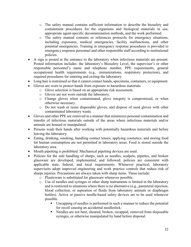- o The safety manual contains sufficient information to describe the biosafety and containment procedures for the organisms and biological materials in use, appropriate agent-specific decontamination methods, and the work performed.
- o The safety manual contains or references protocols for emergency situations, including exposures, medical emergencies, facility malfunctions, and other potential emergencies. Training in emergency response procedures is provided to emergency response personnel and other responsible staff according to institutional policies.
- A sign is posted at the entrance to the laboratory when infectious materials are present. Posted information includes: the laboratory's Biosafety Level, the supervisor's or other responsible personnel's name and telephone number, PPE requirements, general occupational health requirements (e.g., immunizations, respiratory protection), and required procedures for entering and exiting the laboratory.
- Long hair is restrained so that it cannot contact hands, specimens, containers, or equipment.
- Gloves are worn to protect hands from exposure to hazardous materials.
	- o Glove selection is based on an appropriate risk assessment.
	- o Gloves are not worn outside the laboratory.
	- o Change gloves when contaminated, glove integrity is compromised, or when otherwise necessary.
	- o Do not wash or reuse disposable gloves, and dispose of used gloves with other contaminated laboratory waste.
- Gloves and other PPE are removed in a manner that minimizes personal contamination and transfer of infectious materials outside of the areas where infectious materials and/or animals are housed or manipulated.
- Persons wash their hands after working with potentially hazardous materials and before leaving the laboratory.
- Eating, drinking, smoking, handling contact lenses, applying cosmetics, and storing food for human consumption are not permitted in laboratory areas. Food is stored outside the laboratory area.
- Mouth pipetting is prohibited. Mechanical pipetting devices are used.
- Policies for the safe handling of sharps, such as needles, scalpels, pipettes, and broken glassware are developed, implemented, and followed; policies are consistent with applicable state, federal, and local requirements. Whenever practical, laboratory supervisors adopt improved engineering and work practice controls that reduce risk of sharps injuries. Precautions are always taken with sharp items. These include:
	- o Plasticware is substituted for glassware whenever possible.
	- o Use of needles and syringes or other sharp instruments is limited in the laboratory and is restricted to situations where there is no alternative (e.g., parenteral injection, blood collection, or aspiration of fluids from laboratory animals or diaphragm bottles). Active or passive needle-based safety devices are to be used whenever possible.
		- Uncapping of needles is performed in such a manner to reduce the potential for recoil causing an accidental needlestick.
		- Needles are not bent, sheared, broken, recapped, removed from disposable syringes, or otherwise manipulated by hand before disposal.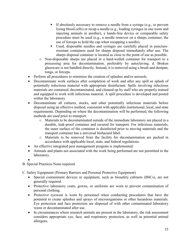- If absolutely necessary to remove a needle from a syringe (e.g., to prevent lysing blood cells) or recap a needle (e.g., loading syringes in one room and injecting animals in another), a hands-free device or comparable safety procedure must be used (e.g., a needle remover on a sharps container, the use of forceps to hold the cap when recapping a needle).
- Used, disposable needles and syringes are carefully placed in punctureresistant containers used for sharps disposal immediately after use. The sharps disposal container is located as close to the point of use as possible.
- o Non-disposable sharps are placed in a hard-walled container for transport to a processing area for decontamination, preferably by autoclaving. d. Broken glassware is not handled directly. Instead, it is removed using a brush and dustpan, tongs, or forceps.
- Perform all procedures to minimize the creation of splashes and/or aerosols.
- Decontaminate work surfaces after completion of work and after any spill or splash of potentially infectious material with appropriate disinfectant. Spills involving infectious materials are contained, decontaminated, and cleaned up by staff who are properly trained and equipped to work with infectious material. A spill procedure is developed and posted within the laboratory.
- Decontaminate all cultures, stocks, and other potentially infectious materials before disposal using an effective method, consistent with applicable institutional, local, and state requirements. Depending on where the decontamination will be performed, the following methods are used prior to transport:
	- o Materials to be decontaminated outside of the immediate laboratory are placed in a durable, leak-proof container and secured for transport. For infectious materials, the outer surface of the container is disinfected prior to moving materials and the transport container has a universal biohazard label.
	- o Materials to be removed from the facility for decontamination are packed in accordance with applicable local, state, and federal regulations.
- An effective integrated pest management program is implemented.
- Animals and plants not associated with the work being performed are not permitted in the laboratory.
- •

B. Special Practices None required.

C. Safety Equipment (Primary Barriers and Personal Protective Equipment)

- Special containment devices or equipment, such as biosafety cabinets (BSCs), are not generally required.
- Protective laboratory coats, gowns, or uniforms are worn to prevent contamination of personal clothing.
- Protective eyewear is worn by personnel when conducting procedures that have the potential to create splashes and sprays of microorganisms or other hazardous materials. Eye protection and face protection are disposed of with other contaminated laboratory waste or decontaminated after use.
- In circumstances where research animals are present in the laboratory, the risk assessment considers appropriate eye, face, and respiratory protection, as well as potential animal allergens.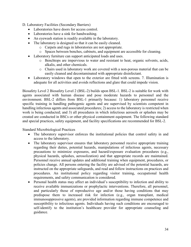D. Laboratory Facilities (Secondary Barriers)

- Laboratories have doors for access control.
- Laboratories have a sink for handwashing.
- An eyewash station is readily available in the laboratory.
- The laboratory is designed so that it can be easily cleaned.
	- o Carpets and rugs in laboratories are not appropriate.
	- o Spaces between benches, cabinets, and equipment are accessible for cleaning.
- Laboratory furniture can support anticipated loads and uses.
	- o Benchtops are impervious to water and resistant to heat, organic solvents, acids, alkalis, and other chemicals.
	- o Chairs used in laboratory work are covered with a non-porous material that can be easily cleaned and decontaminated with appropriate disinfectant.
- Laboratory windows that open to the exterior are fitted with screens. 7. Illumination is adequate for all activities and avoids reflections and glare that could impede vision.

Biosafety Level 2 Biosafety Level 2 (BSL-2) builds upon BSL-1. BSL-2 is suitable for work with agents associated with human disease and pose moderate hazards to personnel and the environment. BSL-2 differs from BSL-1 primarily because: 1) laboratory personnel receive specific training in handling pathogenic agents and are supervised by scientists competent in handling infectious agents and associated procedures; 2) access to the laboratory is restricted when work is being conducted; and 3) all procedures in which infectious aerosols or splashes may be created are conducted in BSCs or other physical containment equipment. The following standard and special practices, safety equipment, and facility specifications are recommended for BSL-2.

Standard Microbiological Practices

- The laboratory supervisor enforces the institutional policies that control safety in and access to the laboratory.
- The laboratory supervisor ensures that laboratory personnel receive appropriate training regarding their duties, potential hazards, manipulations of infectious agents, necessary precautions to minimize exposures, and hazard/exposure evaluation procedures (e.g., physical hazards, splashes, aerosolization) and that appropriate records are maintained. Personnel receive annual updates and additional training when equipment, procedures, or policies change. All persons entering the facility are advised of the potential hazards, are instructed on the appropriate safeguards, and read and follow instructions on practices and procedures. An institutional policy regarding visitor training, occupational health requirements, and safety communication is considered.
- Personal health status may affect an individual's susceptibility to infection and ability to receive available immunizations or prophylactic interventions. Therefore, all personnel, and particularly those of reproductive age and/or those having conditions that may predispose them to increased risk for infection (e.g., organ transplant, medical immunosuppressive agents), are provided information regarding immune competence and susceptibility to infectious agents. Individuals having such conditions are encouraged to self-identify to the institution's healthcare provider for appropriate counseling and guidance.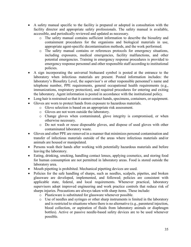- A safety manual specific to the facility is prepared or adopted in consultation with the facility director and appropriate safety professionals. The safety manual is available, accessible, and periodically reviewed and updated as necessary.
	- o The safety manual contains sufficient information to describe the biosafety and containment procedures for the organisms and biological materials in use, appropriate agent-specific decontamination methods, and the work performed.
	- o The safety manual contains or references protocols for emergency situations, including exposures, medical emergencies, facility malfunctions, and other potential emergencies. Training in emergency response procedures is provided to emergency response personnel and other responsible staff according to institutional policies.
- A sign incorporating the universal biohazard symbol is posted at the entrance to the laboratory when infectious materials are present. Posted information includes: the laboratory's Biosafety Level, the supervisor's or other responsible personnel's name and telephone number, PPE requirements, general occupational health requirements (e.g., immunizations, respiratory protection), and required procedures for entering and exiting the laboratory. Agent information is posted in accordance with the institutional policy.
- Long hair is restrained so that it cannot contact hands, specimens, containers, or equipment.
- Gloves are worn to protect hands from exposure to hazardous materials.
	- o Glove selection is based on an appropriate risk assessment.
	- o Gloves are not worn outside the laboratory.
	- o Change gloves when contaminated, glove integrity is compromised, or when otherwise necessary.
	- o Do not wash or reuse disposable gloves, and dispose of used gloves with other contaminated laboratory waste.
- Gloves and other PPE are removed in a manner that minimizes personal contamination and transfer of infectious materials outside of the areas where infectious materials and/or animals are housed or manipulated.
- Persons wash their hands after working with potentially hazardous materials and before leaving the laboratory.
- Eating, drinking, smoking, handling contact lenses, applying cosmetics, and storing food for human consumption are not permitted in laboratory areas. Food is stored outside the laboratory area.
- Mouth pipetting is prohibited. Mechanical pipetting devices are used.
- Policies for the safe handling of sharps, such as needles, scalpels, pipettes, and broken glassware are developed, implemented, and followed; policies are consistent with applicable state, federal, and local requirements. Whenever practical, laboratory supervisors adopt improved engineering and work practice controls that reduce risk of sharps injuries. Precautions are always taken with sharp items. These include:
	- o Plasticware is substituted for glassware whenever possible.
	- o Use of needles and syringes or other sharp instruments is limited in the laboratory and is restricted to situations where there is no alternative (e.g., parenteral injection, blood collection, or aspiration of fluids from laboratory animals or diaphragm bottles). Active or passive needle-based safety devices are to be used whenever possible.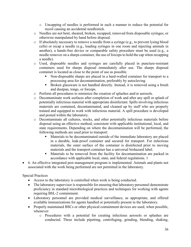- o Uncapping of needles is performed in such a manner to reduce the potential for recoil causing an accidental needlestick.
- o Needles are not bent, sheared, broken, recapped, removed from disposable syringes, or otherwise manipulated by hand before disposal.
- o If absolutely necessary to remove a needle from a syringe (e.g., to prevent lysing blood cells) or recap a needle (e.g., loading syringes in one room and injecting animals in another), a hands-free device or comparable safety procedure must be used (e.g., a needle remover on a sharps container, the use of forceps to hold the cap when recapping a needle).
- o Used, disposable needles and syringes are carefully placed in puncture-resistant containers used for sharps disposal immediately after use. The sharps disposal container is located as close to the point of use as possible.
	- Non-disposable sharps are placed in a hard-walled container for transport to a processing area for decontamination, preferably by autoclaving.
	- **Broken glassware is not handled directly. Instead, it is removed using a brush** and dustpan, tongs, or forceps.
- o Perform all procedures to minimize the creation of splashes and/or aerosols.
- o Decontaminate work surfaces after completion of work and after any spill or splash of potentially infectious material with appropriate disinfectant. Spills involving infectious materials are contained, decontaminated, and cleaned up by staff who are properly trained and equipped to work with infectious material. A spill procedure is developed and posted within the laboratory.
- o Decontaminate all cultures, stocks, and other potentially infectious materials before disposal using an effective method, consistent with applicable institutional, local, and state requirements. Depending on where the decontamination will be performed, the following methods are used prior to transport:
	- Materials to be decontaminated outside of the immediate laboratory are placed in a durable, leak-proof container and secured for transport. For infectious materials, the outer surface of the container is disinfected prior to moving materials and the transport container has a universal biohazard label.
	- Materials to be removed from the facility for decontamination are packed in accordance with applicable local, state, and federal regulations. 1
- 6. An effective integrated pest management program is implemented. Animals and plants not associated with the work being performed are not permitted in the laboratory.

#### Special Practices

- Access to the laboratory is controlled when work is being conducted.
- The laboratory supervisor is responsible for ensuring that laboratory personnel demonstrate proficiency in standard microbiological practices and techniques for working with agents requiring BSL-2 containment.
- Laboratory personnel are provided medical surveillance, as appropriate, and offered available immunizations for agents handled or potentially present in the laboratory.
- Properly maintained BSCs or other physical containment devices are used, when possible, whenever:
	- o Procedures with a potential for creating infectious aerosols or splashes are conducted. These include pipetting, centrifuging, grinding, blending, shaking,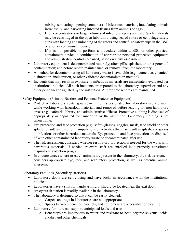mixing, sonicating, opening containers of infectious materials, inoculating animals intranasally, and harvesting infected tissues from animals or eggs.

- o High concentrations or large volumes of infectious agents are used. Such materials may be centrifuged in the open laboratory using sealed rotors or centrifuge safety cups with loading and unloading of the rotors and centrifuge safety cups in the BSC or another containment device.
- o If it is not possible to perform a procedure within a BSC or other physical containment device, a combination of appropriate personal protective equipment and administrative controls are used, based on a risk assessment.
- Laboratory equipment is decontaminated routinely; after spills, splashes, or other potential contamination; and before repair, maintenance, or removal from the laboratory.
- A method for decontaminating all laboratory waste is available (e.g., autoclave, chemical disinfection, incineration, or other validated decontamination method).
- Incidents that may result in exposure to infectious materials are immediately evaluated per institutional policies. All such incidents are reported to the laboratory supervisor and any other personnel designated by the institution. Appropriate records are maintained.

Safety Equipment (Primary Barriers and Personal Protective Equipment)

- Protective laboratory coats, gowns, or uniforms designated for laboratory use are worn while working with hazardous materials and removed before leaving for non-laboratory areas (e.g., cafeteria, library, and administrative offices). Protective clothing is disposed of appropriately or deposited for laundering by the institution. Laboratory clothing is not taken home.
- Eye protection and face protection (e.g., safety glasses, goggles, mask, face shield or other splatter guard) are used for manipulations or activities that may result in splashes or sprays of infectious or other hazardous materials. Eye protection and face protection are disposed of with other contaminated laboratory waste or decontaminated after use.
- The risk assessment considers whether respiratory protection is needed for the work with hazardous materials. If needed, relevant staff are enrolled in a properly constituted respiratory protection program.
- In circumstances where research animals are present in the laboratory, the risk assessment considers appropriate eye, face, and respiratory protection, as well as potential animal allergens.

Laboratory Facilities (Secondary Barriers)

- Laboratory doors are self-closing and have locks in accordance with the institutional policies.
- Laboratories have a sink for handwashing. It should be located near the exit door.
- An eyewash station is readily available in the laboratory.
- The laboratory is designed so that it can be easily cleaned.
	- o Carpets and rugs in laboratories are not appropriate.
	- o Spaces between benches, cabinets, and equipment are accessible for cleaning.
- Laboratory furniture can support anticipated loads and uses.
	- o Benchtops are impervious to water and resistant to heat, organic solvents, acids, alkalis, and other chemicals.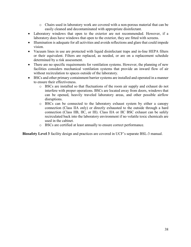- o Chairs used in laboratory work are covered with a non-porous material that can be easily cleaned and decontaminated with appropriate disinfectant.
- Laboratory windows that open to the exterior are not recommended. However, if a laboratory does have windows that open to the exterior, they are fitted with screens.
- Illumination is adequate for all activities and avoids reflections and glare that could impede vision.
- Vacuum lines in use are protected with liquid disinfectant traps and in-line HEPA filters or their equivalent. Filters are replaced, as needed, or are on a replacement schedule determined by a risk assessment.
- There are no specific requirements for ventilation systems. However, the planning of new facilities considers mechanical ventilation systems that provide an inward flow of air without recirculation to spaces outside of the laboratory.
- BSCs and other primary containment barrier systems are installed and operated in a manner to ensure their effectiveness.
	- o BSCs are installed so that fluctuations of the room air supply and exhaust do not interfere with proper operations. BSCs are located away from doors, windows that can be opened, heavily traveled laboratory areas, and other possible airflow disruptions.
	- o BSCs can be connected to the laboratory exhaust system by either a canopy connection (Class IIA only) or directly exhausted to the outside through a hard connection (Class IIB, IIC, or III). Class IIA or IIC BSC exhaust can be safely recirculated back into the laboratory environment if no volatile toxic chemicals are used in the cabinet.
	- o BSCs are certified at least annually to ensure correct performance.

**Biosafety Level 3** facility design and practices are covered in UCF's separate BSL-3 manual.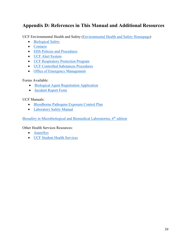# <span id="page-43-0"></span>**Appendix D: References in This Manual and Additional Resources**

UCF Environmental Health and Safety [\(Environmental Health and Safety Homepage\)](http://www.ehs.ucf.edu/)

- [Biological Safety](https://ehs.ucf.edu/biological-safety)
- [Contacts](https://ehs.ucf.edu/staff-directory)
- [EHS Policies and Procedures](https://ehs.ucf.edu/policies/)
- [UCF Alert System](https://police.ucf.edu/ucfalert)
- [UCF Respiratory Protection Program](https://ehs.ucf.edu/wp-content/uploads/sites/3/2019/08/Respiratory-Protection-Procedure.pdf)
- [UCF Controlled Substances Procedures](https://ehs.ucf.edu/controlled-substances)
- [Office of Emergency Management](http://emergency.ucf.edu/)

#### Forms Available:

- [Biological Agent Registration Application](https://ehs.ucf.edu/wp-content/uploads/sites/3/2021/10/BARA.2021_MK-1.pdf)
- Incident Report Form

#### UCF Manuals:

- [Bloodborne Pathogens Exposure Control Plan](https://ehs.ucf.edu/wp-content/uploads/sites/3/2019/10/UCF-BBP-ECP_8-26-2019.approved.pdf)
- [Laboratory Safety Manual](https://ehs.ucf.edu/wp-content/uploads/sites/3/2021/08/Laboratory-Safety-Manual-2018.pdf)

Biosafety in Microbiological and Biomedical Laboratories, 6<sup>th</sup> edition

Other Health Services Resources:

- [AmeriSys](http://www.amerisys-info.com/)
- [UCF Student Health Services](https://studenthealth.ucf.edu/)